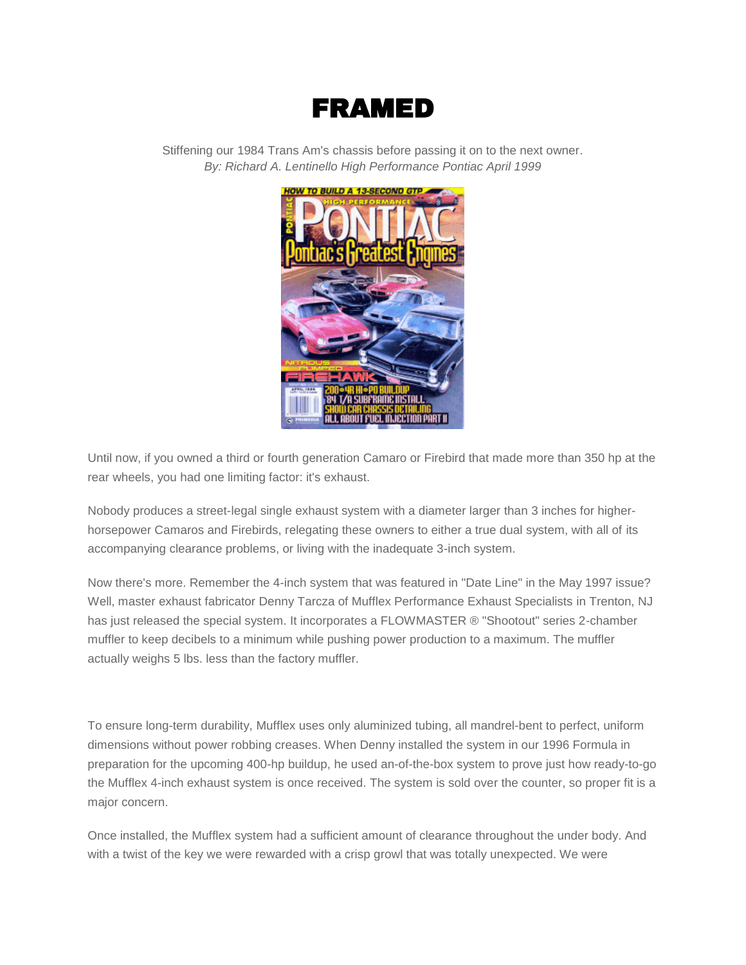## FRAMED

Stiffening our 1984 Trans Am's chassis before passing it on to the next owner. *By: Richard A. Lentinello High Performance Pontiac April 1999*



Until now, if you owned a third or fourth generation Camaro or Firebird that made more than 350 hp at the rear wheels, you had one limiting factor: it's exhaust.

Nobody produces a street-legal single exhaust system with a diameter larger than 3 inches for higherhorsepower Camaros and Firebirds, relegating these owners to either a true dual system, with all of its accompanying clearance problems, or living with the inadequate 3-inch system.

Now there's more. Remember the 4-inch system that was featured in "Date Line" in the May 1997 issue? Well, master exhaust fabricator Denny Tarcza of Mufflex Performance Exhaust Specialists in Trenton, NJ has just released the special system. It incorporates a FLOWMASTER ® "Shootout" series 2-chamber muffler to keep decibels to a minimum while pushing power production to a maximum. The muffler actually weighs 5 lbs. less than the factory muffler.

To ensure long-term durability, Mufflex uses only aluminized tubing, all mandrel-bent to perfect, uniform dimensions without power robbing creases. When Denny installed the system in our 1996 Formula in preparation for the upcoming 400-hp buildup, he used an-of-the-box system to prove just how ready-to-go the Mufflex 4-inch exhaust system is once received. The system is sold over the counter, so proper fit is a major concern.

Once installed, the Mufflex system had a sufficient amount of clearance throughout the under body. And with a twist of the key we were rewarded with a crisp growl that was totally unexpected. We were